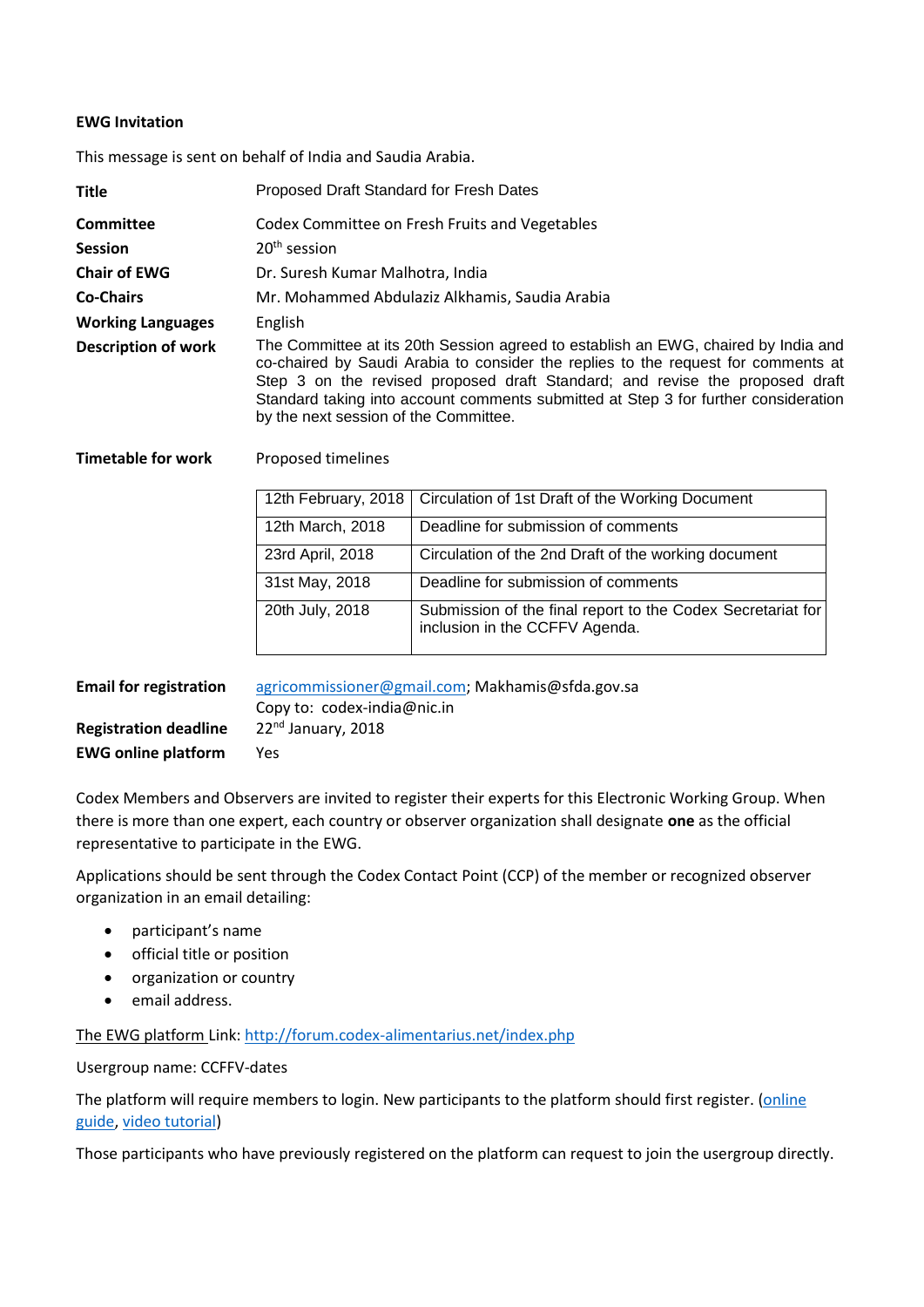## **EWG Invitation**

This message is sent on behalf of India and Saudia Arabia.

| <b>Title</b>               | Proposed Draft Standard for Fresh Dates                                                                                                                                                                                                                                                                                                                                                 |
|----------------------------|-----------------------------------------------------------------------------------------------------------------------------------------------------------------------------------------------------------------------------------------------------------------------------------------------------------------------------------------------------------------------------------------|
| <b>Committee</b>           | Codex Committee on Fresh Fruits and Vegetables                                                                                                                                                                                                                                                                                                                                          |
| <b>Session</b>             | $20th$ session                                                                                                                                                                                                                                                                                                                                                                          |
| <b>Chair of EWG</b>        | Dr. Suresh Kumar Malhotra, India                                                                                                                                                                                                                                                                                                                                                        |
| <b>Co-Chairs</b>           | Mr. Mohammed Abdulaziz Alkhamis, Saudia Arabia                                                                                                                                                                                                                                                                                                                                          |
| <b>Working Languages</b>   | English                                                                                                                                                                                                                                                                                                                                                                                 |
| <b>Description of work</b> | The Committee at its 20th Session agreed to establish an EWG, chaired by India and<br>co-chaired by Saudi Arabia to consider the replies to the request for comments at<br>Step 3 on the revised proposed draft Standard; and revise the proposed draft<br>Standard taking into account comments submitted at Step 3 for further consideration<br>by the next session of the Committee. |

## **Timetable for work** Proposed timelines

|                  | 12th February, 2018   Circulation of 1st Draft of the Working Document                        |
|------------------|-----------------------------------------------------------------------------------------------|
| 12th March, 2018 | Deadline for submission of comments                                                           |
| 23rd April, 2018 | Circulation of the 2nd Draft of the working document                                          |
| 31st May, 2018   | Deadline for submission of comments                                                           |
| 20th July, 2018  | Submission of the final report to the Codex Secretariat for<br>inclusion in the CCFFV Agenda. |

| <b>Email for registration</b> | agricommissioner@gmail.com; Makhamis@sfda.gov.sa |
|-------------------------------|--------------------------------------------------|
|                               | Copy to: codex-india@nic.in                      |
| <b>Registration deadline</b>  | $22nd$ January, 2018                             |
| <b>EWG online platform</b>    | Yes                                              |

Codex Members and Observers are invited to register their experts for this Electronic Working Group. When there is more than one expert, each country or observer organization shall designate **one** as the official representative to participate in the EWG.

Applications should be sent through the Codex Contact Point (CCP) of the member or recognized observer organization in an email detailing:

- participant's name
- **•** official title or position
- organization or country
- email address.

The EWG platform Link[: http://forum.codex-alimentarius.net/index.php](http://forum.codex-alimentarius.net/index.php)

Usergroup name: CCFFV-dates

The platform will require members to login. New participants to the platform should first register. [\(online](http://forum.codex-alimentarius.net/viewtopic.php?f=13&t=11)  [guide,](http://forum.codex-alimentarius.net/viewtopic.php?f=13&t=11) [video tutorial\)](https://youtu.be/EJn9k7wNSwk)

Those participants who have previously registered on the platform can request to join the usergroup directly.